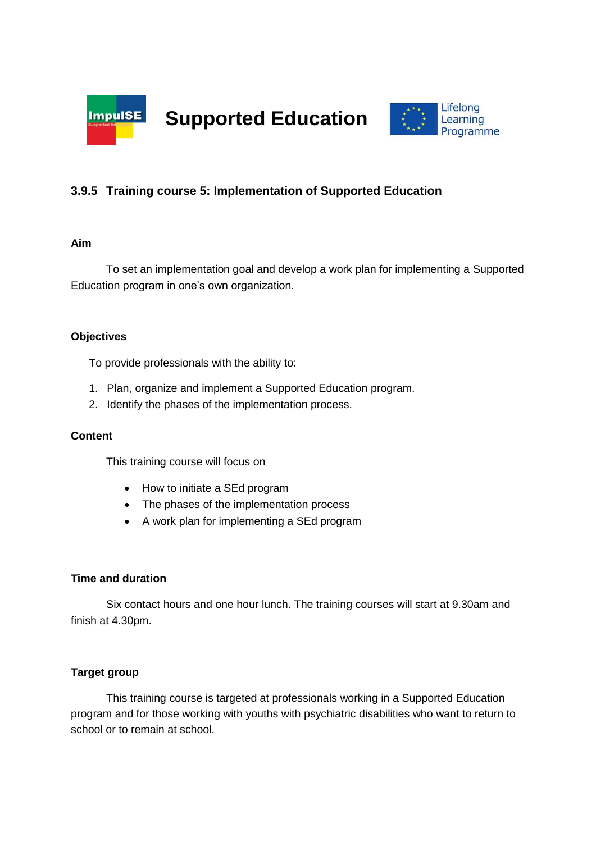

**Supported Education**



# **3.9.5 Training course 5: Implementation of Supported Education**

### **Aim**

To set an implementation goal and develop a work plan for implementing a Supported Education program in one's own organization.

# **Objectives**

To provide professionals with the ability to:

- 1. Plan, organize and implement a Supported Education program.
- 2. Identify the phases of the implementation process.

### **Content**

This training course will focus on

- How to initiate a SEd program
- The phases of the implementation process
- A work plan for implementing a SEd program

### **Time and duration**

Six contact hours and one hour lunch. The training courses will start at 9.30am and finish at 4.30pm.

# **Target group**

This training course is targeted at professionals working in a Supported Education program and for those working with youths with psychiatric disabilities who want to return to school or to remain at school.